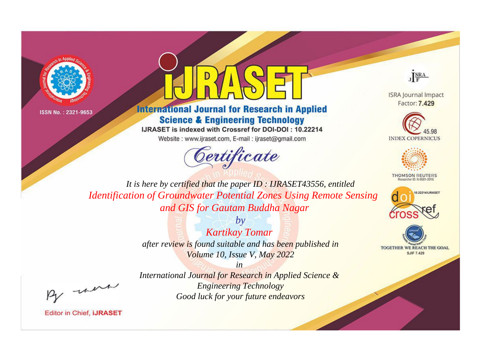



**International Journal for Research in Applied Science & Engineering Technology** 

IJRASET is indexed with Crossref for DOI-DOI: 10.22214

Website: www.ijraset.com, E-mail: ijraset@gmail.com





**ISRA Journal Impact** Factor: 7.429





**THOMSON REUTERS** 



TOGETHER WE REACH THE GOAL **SJIF 7.429** 

*It is here by certified that the paper ID : IJRASET43556, entitled Identification of Groundwater Potential Zones Using Remote Sensing and GIS for Gautam Buddha Nagar*

> *by Kartikay Tomar after review is found suitable and has been published in Volume 10, Issue V, May 2022*

, un

*International Journal for Research in Applied Science & Engineering Technology Good luck for your future endeavors*

*in*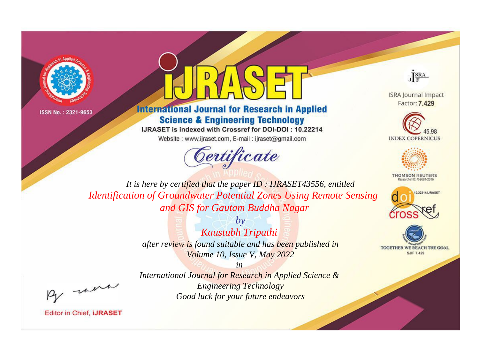



**International Journal for Research in Applied Science & Engineering Technology** 

IJRASET is indexed with Crossref for DOI-DOI: 10.22214

Website: www.ijraset.com, E-mail: ijraset@gmail.com





**ISRA Journal Impact** Factor: 7.429





**THOMSON REUTERS** 



TOGETHER WE REACH THE GOAL **SJIF 7.429** 

*It is here by certified that the paper ID : IJRASET43556, entitled Identification of Groundwater Potential Zones Using Remote Sensing and GIS for Gautam Buddha Nagar*

> *by Kaustubh Tripathi after review is found suitable and has been published in Volume 10, Issue V, May 2022*

, un

*International Journal for Research in Applied Science & Engineering Technology Good luck for your future endeavors*

*in*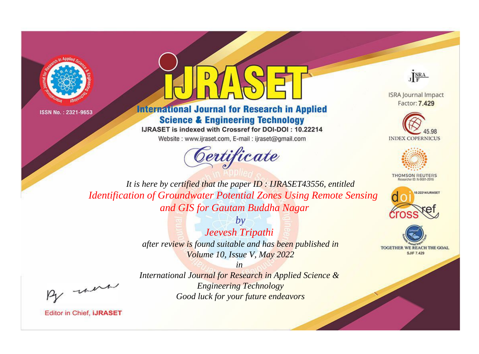



**International Journal for Research in Applied Science & Engineering Technology** 

IJRASET is indexed with Crossref for DOI-DOI: 10.22214

Website: www.ijraset.com, E-mail: ijraset@gmail.com





**ISRA Journal Impact** Factor: 7.429





**THOMSON REUTERS** 



TOGETHER WE REACH THE GOAL **SJIF 7.429** 

*It is here by certified that the paper ID : IJRASET43556, entitled Identification of Groundwater Potential Zones Using Remote Sensing and GIS for Gautam Buddha Nagar*

> *by Jeevesh Tripathi after review is found suitable and has been published in Volume 10, Issue V, May 2022*

, were

*International Journal for Research in Applied Science & Engineering Technology Good luck for your future endeavors*

*in*